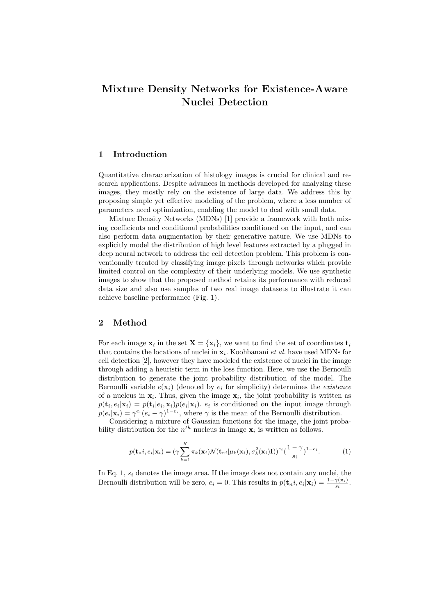# Mixture Density Networks for Existence-Aware Nuclei Detection

## 1 Introduction

Quantitative characterization of histology images is crucial for clinical and research applications. Despite advances in methods developed for analyzing these images, they mostly rely on the existence of large data. We address this by proposing simple yet effective modeling of the problem, where a less number of parameters need optimization, enabling the model to deal with small data.

Mixture Density Networks (MDNs) [1] provide a framework with both mixing coefficients and conditional probabilities conditioned on the input, and can also perform data augmentation by their generative nature. We use MDNs to explicitly model the distribution of high level features extracted by a plugged in deep neural network to address the cell detection problem. This problem is conventionally treated by classifying image pixels through networks which provide limited control on the complexity of their underlying models. We use synthetic images to show that the proposed method retains its performance with reduced data size and also use samples of two real image datasets to illustrate it can achieve baseline performance (Fig. 1).

#### 2 Method

For each image  $\mathbf{x}_i$  in the set  $\mathbf{X} = {\mathbf{x}_i}$ , we want to find the set of coordinates  $\mathbf{t}_i$ that contains the locations of nuclei in  $x_i$ . Koohbanani *et al.* have used MDNs for cell detection [2], however they have modeled the existence of nuclei in the image through adding a heuristic term in the loss function. Here, we use the Bernoulli distribution to generate the joint probability distribution of the model. The Bernoulli variable  $e(\mathbf{x}_i)$  (denoted by  $e_i$  for simplicity) determines the *existence* of a nucleus in  $x_i$ . Thus, given the image  $x_i$ , the joint probability is written as  $p(\mathbf{t}_i, e_i | \mathbf{x}_i) = p(\mathbf{t}_i | e_i, \mathbf{x}_i) p(e_i | \mathbf{x}_i)$ .  $e_i$  is conditioned on the input image through  $p(e_i|\mathbf{x}_i) = \gamma^{e_i}(e_i - \gamma)^{1-e_i}$ , where  $\gamma$  is the mean of the Bernoulli distribution.

Considering a mixture of Gaussian functions for the image, the joint probability distribution for the  $n<sup>th</sup>$  nucleus in image  $x<sub>i</sub>$  is written as follows.

$$
p(\mathbf{t}_{n}i, e_{i}|\mathbf{x}_{i}) = (\gamma \sum_{k=1}^{K} \pi_{k}(\mathbf{x}_{i}) \mathcal{N}(\mathbf{t}_{n}i|\mu_{k}(\mathbf{x}_{i}), \sigma_{k}^{2}(\mathbf{x}_{i})\mathbf{I}))^{e_{i}} (\frac{1-\gamma}{s_{i}})^{1-e_{i}}.
$$
 (1)

In Eq. 1,  $s_i$  denotes the image area. If the image does not contain any nuclei, the Bernoulli distribution will be zero,  $e_i = 0$ . This results in  $p(\mathbf{t}_n i, e_i | \mathbf{x}_i) = \frac{1 - \gamma(\mathbf{x}_i)}{s_i}$ .